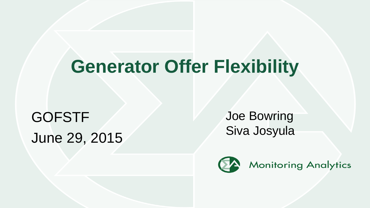# **Generator Offer Flexibility**

GOFSTF June 29, 2015 Joe Bowring Siva Josyula

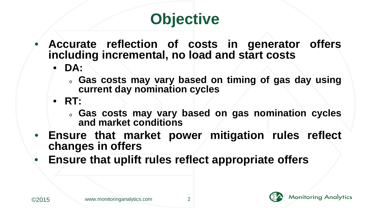## **Objective**

- **Accurate reflection of costs in generator offers including incremental, no load and start costs**
	- **DA:** 
		- <sup>o</sup> **Gas costs may vary based on timing of gas day using current day nomination cycles**
	- **RT:** 
		- <sup>o</sup> **Gas costs may vary based on gas nomination cycles and market conditions**
- **Ensure that market power mitigation rules reflect changes in offers**
- **Ensure that uplift rules reflect appropriate offers**





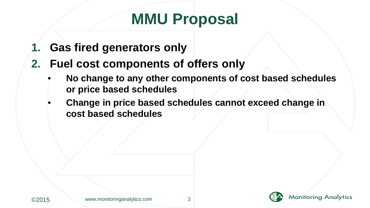### **MMU Proposal**

- **1. Gas fired generators only**
- **2. Fuel cost components of offers only**
	- **No change to any other components of cost based schedules or price based schedules**
	- **Change in price based schedules cannot exceed change in cost based schedules**

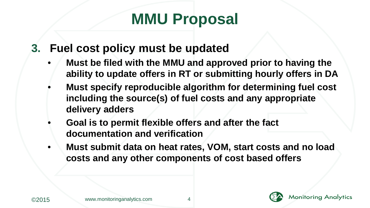### **MMU Proposal**

- **3. Fuel cost policy must be updated**
	- **Must be filed with the MMU and approved prior to having the ability to update offers in RT or submitting hourly offers in DA**
	- **Must specify reproducible algorithm for determining fuel cost including the source(s) of fuel costs and any appropriate delivery adders**
	- **Goal is to permit flexible offers and after the fact documentation and verification**
	- **Must submit data on heat rates, VOM, start costs and no load costs and any other components of cost based offers**



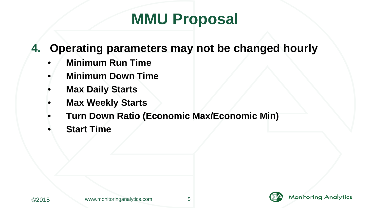### **MMU Proposal**

- **4. Operating parameters may not be changed hourly**
	- **Minimum Run Time**
	- **Minimum Down Time**
	- **Max Daily Starts**
	- **Max Weekly Starts**
	- **Turn Down Ratio (Economic Max/Economic Min)**
	- **Start Time**



**Monitoring Analytics**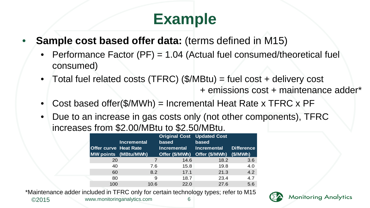### **Example**

- **Sample cost based offer data:** (terms defined in M15)
	- Performance Factor (PF) = 1.04 (Actual fuel consumed/theoretical fuel consumed)
	- Total fuel related costs (TFRC) (\$/MBtu) = fuel cost + delivery cost + emissions cost + maintenance adder\*
	- Cost based offer(\$/MWh) = Incremental Heat Rate x TFRC x PF
	- Due to an increase in gas costs only (not other components), TFRC increases from \$2.00/MBtu to \$2.50/MBtu.

|                              | Incremental          | <b>Original Cost Updated Cost</b><br>based | based          |                   |
|------------------------------|----------------------|--------------------------------------------|----------------|-------------------|
| <b>Offer curve Heat Rate</b> |                      | Incremental                                | Incremental    | <b>Difference</b> |
|                              | MW points (MBtu/MWh) | Offer (\$/MWh)                             | Offer (\$/MWh) | (\$/MWh)          |
| 20                           | 7                    | 14.6                                       | 18.2           | 3.6               |
| 40                           | 7.6                  | 15.8                                       | 19.8           | 4.0               |
| 60                           | 8.2                  | 17.1                                       | 21.3           | 4.2               |
| 80                           | 9                    | 18.7                                       | 23.4           | 4.7               |
| 100                          | 10.6                 | 22.0                                       | 27.6           | 56                |
|                              |                      |                                            |                |                   |

\*Maintenance adder included in TFRC only for certain technology types; refer to M15

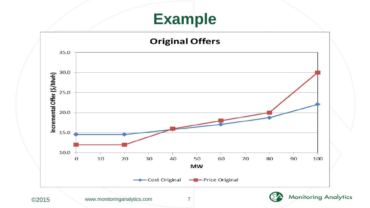#### **Example**



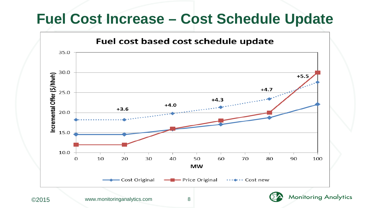#### **Fuel Cost Increase – Cost Schedule Update**

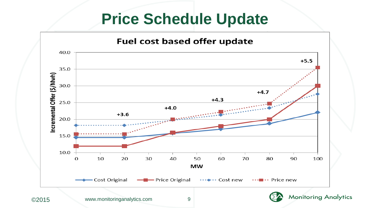#### **Price Schedule Update**



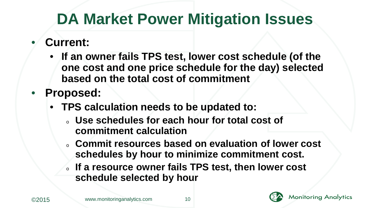### **DA Market Power Mitigation Issues**

- **Current:**
	- **If an owner fails TPS test, lower cost schedule (of the one cost and one price schedule for the day) selected based on the total cost of commitment**
- **Proposed:**
	- **TPS calculation needs to be updated to:**
		- <sup>o</sup> **Use schedules for each hour for total cost of commitment calculation**
		- <sup>o</sup> **Commit resources based on evaluation of lower cost schedules by hour to minimize commitment cost.**
		- <sup>o</sup> **If a resource owner fails TPS test, then lower cost schedule selected by hour**



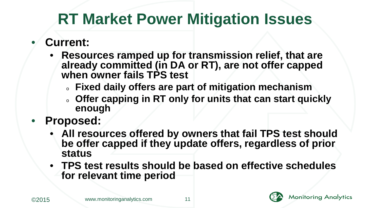### **RT Market Power Mitigation Issues**

- **Current:**
	- **Resources ramped up for transmission relief, that are already committed (in DA or RT), are not offer capped when owner fails TPS test**
		- <sup>o</sup> **Fixed daily offers are part of mitigation mechanism**
		- offer capping in RT only for units that can start quickly **enough**
- **Proposed:**
	- **All resources offered by owners that fail TPS test should be offer capped if they update offers, regardless of prior status**
	- **TPS test results should be based on effective schedules for relevant time period**